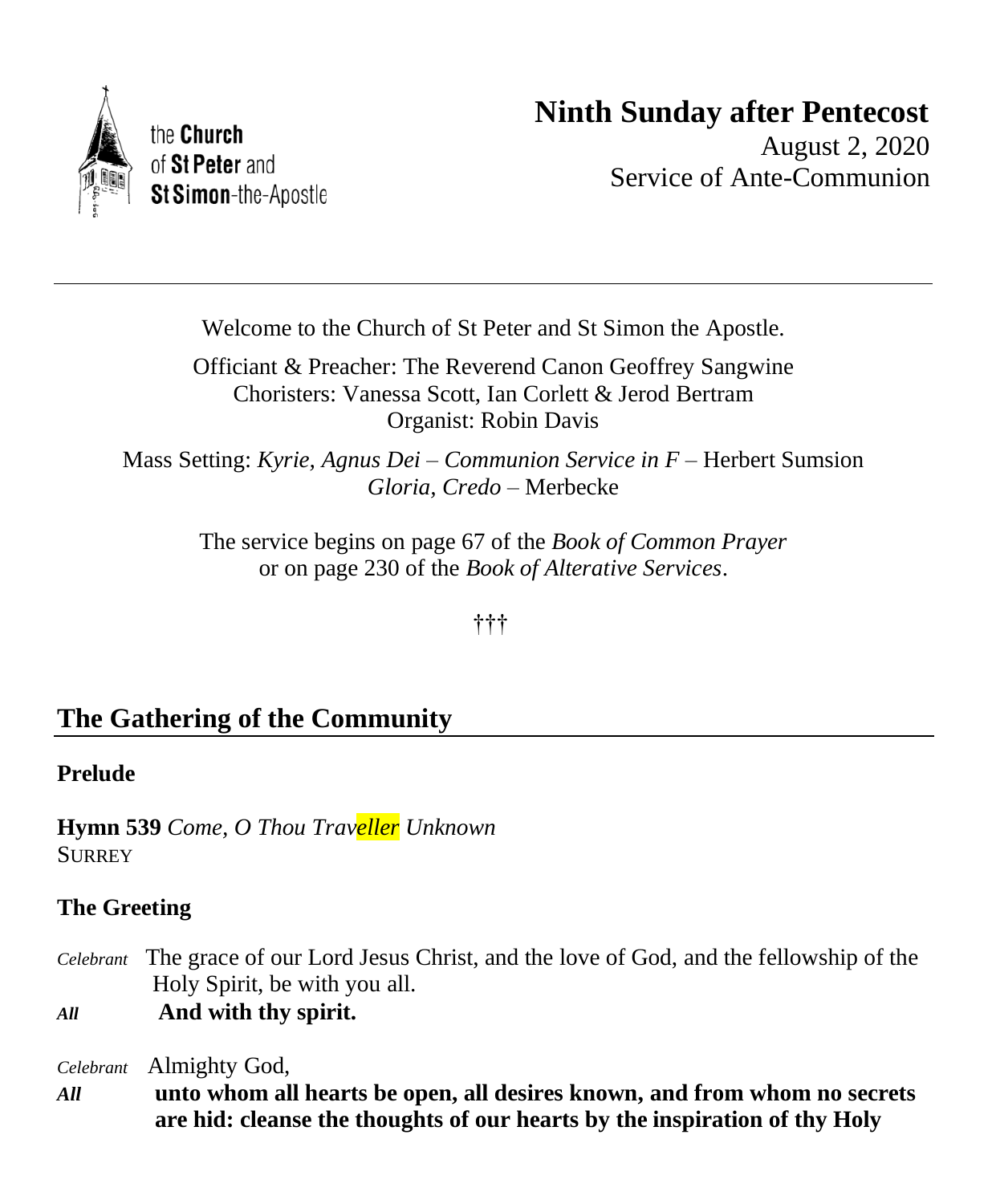

# **Ninth Sunday after Pentecost**

August 2, 2020 Service of Ante-Communion

Welcome to the Church of St Peter and St Simon the Apostle.

Officiant & Preacher: The Reverend Canon Geoffrey Sangwine Choristers: Vanessa Scott, Ian Corlett & Jerod Bertram Organist: Robin Davis

Mass Setting: *Kyrie, Agnus Dei – Communion Service in F* – Herbert Sumsion *Gloria, Credo* – Merbecke

> The service begins on page 67 of the *Book of Common Prayer* or on page 230 of the *Book of Alterative Services*.

> > †††

# **The Gathering of the Community**

# **Prelude**

**Hymn 539** *Come, O Thou Traveller Unknown*  **SURREY** 

# **The Greeting**

- *Celebrant* The grace of our Lord Jesus Christ, and the love of God, and the fellowship of the Holy Spirit, be with you all.
- *All* **And with thy spirit.**

*Celebrant* Almighty God,

*All* **unto whom all hearts be open, all desires known, and from whom no secrets are hid: cleanse the thoughts of our hearts by the inspiration of thy Holy**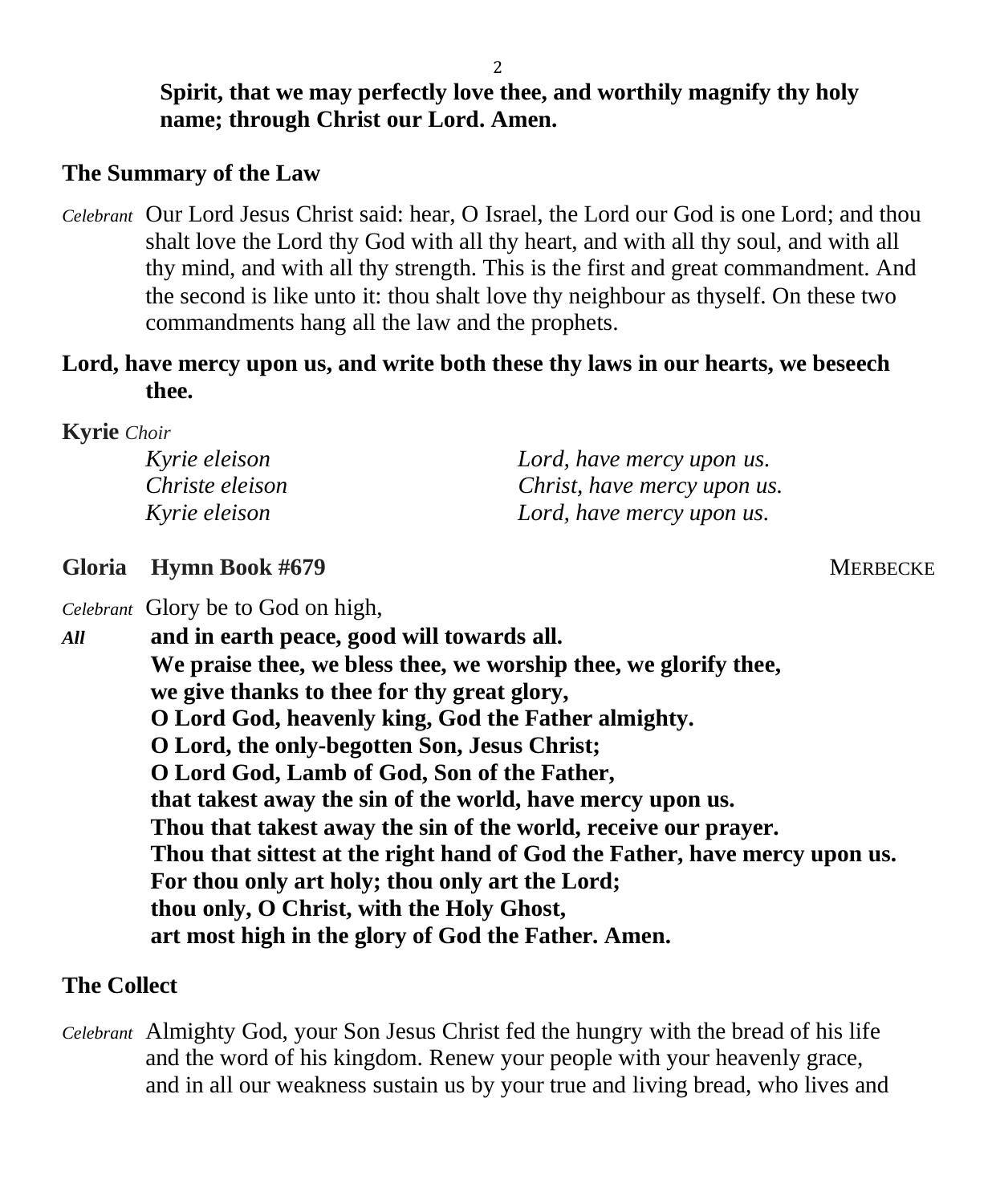**Spirit, that we may perfectly love thee, and worthily magnify thy holy name; through Christ our Lord. Amen.**

## **The Summary of the Law**

*Celebrant* Our Lord Jesus Christ said: hear, O Israel, the Lord our God is one Lord; and thou shalt love the Lord thy God with all thy heart, and with all thy soul, and with all thy mind, and with all thy strength. This is the first and great commandment. And the second is like unto it: thou shalt love thy neighbour as thyself. On these two commandments hang all the law and the prophets.

### **Lord, have mercy upon us, and write both these thy laws in our hearts, we beseech thee.**

**Kyrie** *Choir*

| Kyrie eleison   | Lord, have mercy upon us.   |
|-----------------|-----------------------------|
| Christe eleison | Christ, have mercy upon us. |
| Kyrie eleison   | Lord, have mercy upon us.   |

**Gloria Hymn Book #679** MERBECKE

*Celebrant* Glory be to God on high,

*All* **and in earth peace, good will towards all. We praise thee, we bless thee, we worship thee, we glorify thee, we give thanks to thee for thy great glory, O Lord God, heavenly king, God the Father almighty. O Lord, the only-begotten Son, Jesus Christ; O Lord God, Lamb of God, Son of the Father, that takest away the sin of the world, have mercy upon us. Thou that takest away the sin of the world, receive our prayer. Thou that sittest at the right hand of God the Father, have mercy upon us. For thou only art holy; thou only art the Lord; thou only, O Christ, with the Holy Ghost, art most high in the glory of God the Father. Amen.**

### **The Collect**

*Celebrant* Almighty God, your Son Jesus Christ fed the hungry with the bread of his life and the word of his kingdom. Renew your people with your heavenly grace, and in all our weakness sustain us by your true and living bread, who lives and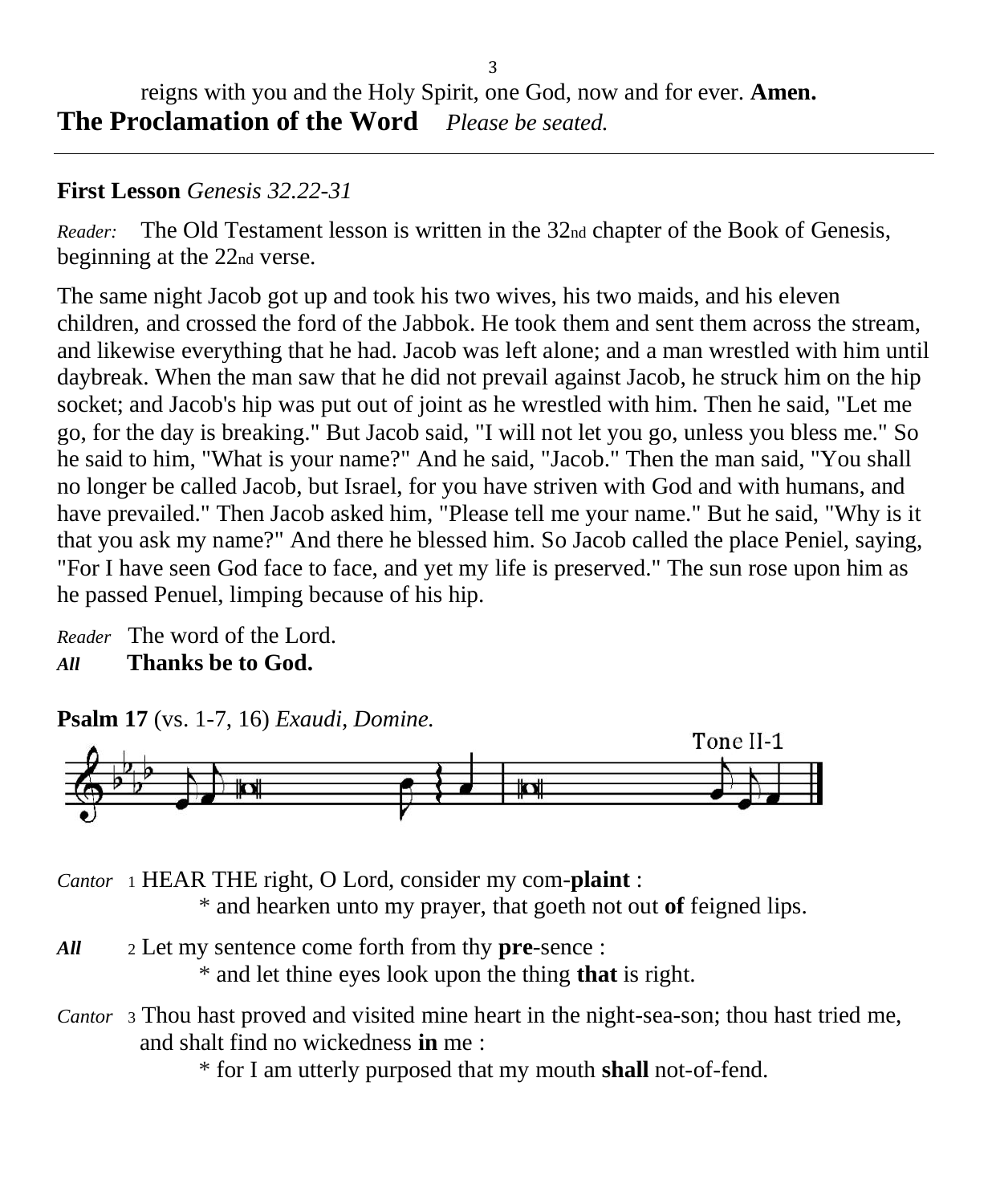# **First Lesson** *Genesis 32.22-31*

*Reader:* The Old Testament lesson is written in the 32nd chapter of the Book of Genesis, beginning at the 22nd verse.

The same night Jacob got up and took his two wives, his two maids, and his eleven children, and crossed the ford of the Jabbok. He took them and sent them across the stream, and likewise everything that he had. Jacob was left alone; and a man wrestled with him until daybreak. When the man saw that he did not prevail against Jacob, he struck him on the hip socket; and Jacob's hip was put out of joint as he wrestled with him. Then he said, "Let me go, for the day is breaking." But Jacob said, "I will not let you go, unless you bless me." So he said to him, "What is your name?" And he said, "Jacob." Then the man said, "You shall no longer be called Jacob, but Israel, for you have striven with God and with humans, and have prevailed." Then Jacob asked him, "Please tell me your name." But he said, "Why is it that you ask my name?" And there he blessed him. So Jacob called the place Peniel, saying, "For I have seen God face to face, and yet my life is preserved." The sun rose upon him as he passed Penuel, limping because of his hip.

*Reader* The word of the Lord. *All* **Thanks be to God.**



*Cantor* <sup>1</sup> HEAR THE right, O Lord, consider my com-**plaint** : \* and hearken unto my prayer, that goeth not out **of** feigned lips.

- *All* <sup>2</sup> Let my sentence come forth from thy **pre**-sence : \* and let thine eyes look upon the thing **that** is right.
- *Cantor* <sup>3</sup> Thou hast proved and visited mine heart in the night-sea-son; thou hast tried me, and shalt find no wickedness **in** me :

\* for I am utterly purposed that my mouth **shall** not-of-fend.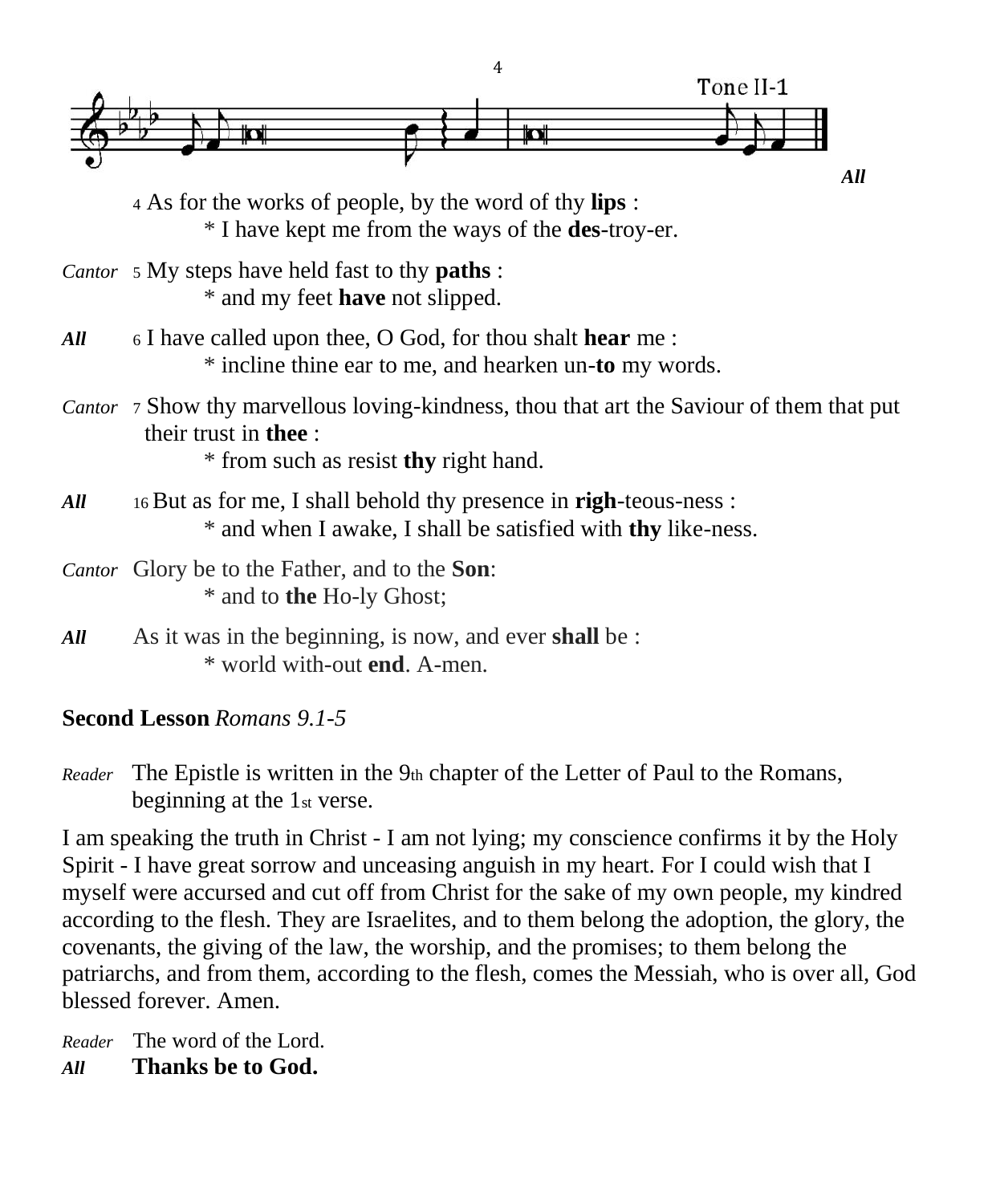

<sup>4</sup> As for the works of people, by the word of thy **lips** : \* I have kept me from the ways of the **des**-troy-er.

- *Cantor* <sup>5</sup> My steps have held fast to thy **paths** : \* and my feet **have** not slipped.
- *All* <sup>6</sup> I have called upon thee, O God, for thou shalt **hear** me : \* incline thine ear to me, and hearken un-**to** my words.
- *Cantor* <sup>7</sup> Show thy marvellous loving-kindness, thou that art the Saviour of them that put their trust in **thee** :

\* from such as resist **thy** right hand.

- *All* <sup>16</sup> But as for me, I shall behold thy presence in **righ**-teous-ness : \* and when I awake, I shall be satisfied with **thy** like-ness.
- *Cantor* Glory be to the Father, and to the **Son**: \* and to **the** Ho-ly Ghost;
- *All* As it was in the beginning, is now, and ever **shall** be : \* world with-out **end**. A-men.

# **Second Lesson** *Romans 9.1-5*

*Reader* The Epistle is written in the 9th chapter of the Letter of Paul to the Romans, beginning at the 1st verse.

I am speaking the truth in Christ - I am not lying; my conscience confirms it by the Holy Spirit - I have great sorrow and unceasing anguish in my heart. For I could wish that I myself were accursed and cut off from Christ for the sake of my own people, my kindred according to the flesh. They are Israelites, and to them belong the adoption, the glory, the covenants, the giving of the law, the worship, and the promises; to them belong the patriarchs, and from them, according to the flesh, comes the Messiah, who is over all, God blessed forever. Amen.

*Reader* The word of the Lord. *All* **Thanks be to God.**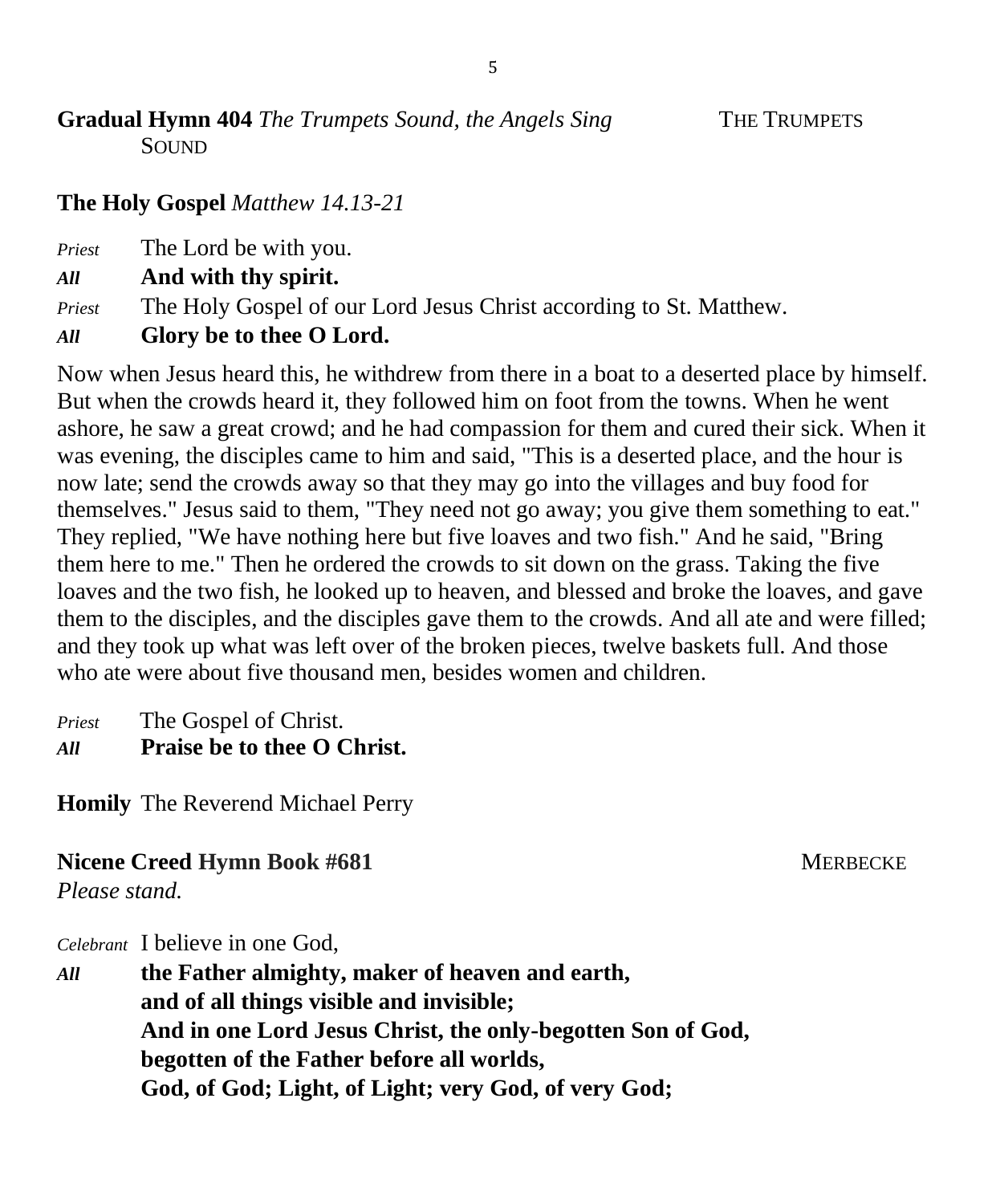**Gradual Hymn 404** *The Trumpets Sound, the Angels Sing*THE TRUMPETS SOUND

## **The Holy Gospel** *Matthew 14.13-21*

*Priest* The Lord be with you.

*All* **And with thy spirit.**

*Priest* The Holy Gospel of our Lord Jesus Christ according to St. Matthew.

*All* **Glory be to thee O Lord.**

Now when Jesus heard this, he withdrew from there in a boat to a deserted place by himself. But when the crowds heard it, they followed him on foot from the towns. When he went ashore, he saw a great crowd; and he had compassion for them and cured their sick. When it was evening, the disciples came to him and said, "This is a deserted place, and the hour is now late; send the crowds away so that they may go into the villages and buy food for themselves." Jesus said to them, "They need not go away; you give them something to eat." They replied, "We have nothing here but five loaves and two fish." And he said, "Bring them here to me." Then he ordered the crowds to sit down on the grass. Taking the five loaves and the two fish, he looked up to heaven, and blessed and broke the loaves, and gave them to the disciples, and the disciples gave them to the crowds. And all ate and were filled; and they took up what was left over of the broken pieces, twelve baskets full. And those who ate were about five thousand men, besides women and children.

*Priest* The Gospel of Christ. *All* **Praise be to thee O Christ.**

**Homily** The Reverend Michael Perry

### **Nicene Creed Hymn Book #681** MERBECKE

*Please stand.*

*Celebrant* I believe in one God,

*All* **the Father almighty, maker of heaven and earth, and of all things visible and invisible; And in one Lord Jesus Christ, the only-begotten Son of God, begotten of the Father before all worlds, God, of God; Light, of Light; very God, of very God;**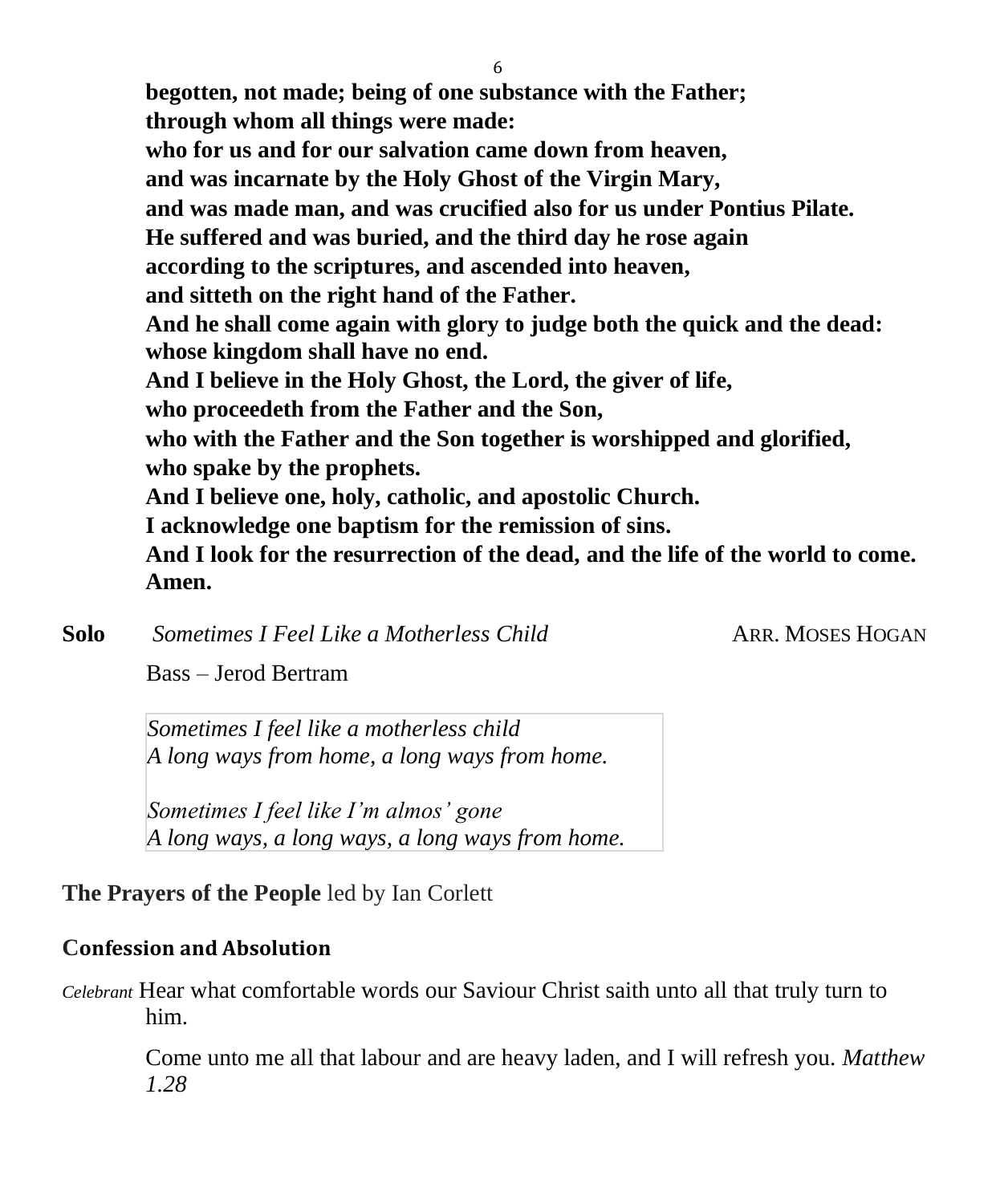**begotten, not made; being of one substance with the Father; through whom all things were made: who for us and for our salvation came down from heaven, and was incarnate by the Holy Ghost of the Virgin Mary, and was made man, and was crucified also for us under Pontius Pilate. He suffered and was buried, and the third day he rose again according to the scriptures, and ascended into heaven, and sitteth on the right hand of the Father. And he shall come again with glory to judge both the quick and the dead: whose kingdom shall have no end. And I believe in the Holy Ghost, the Lord, the giver of life, who proceedeth from the Father and the Son, who with the Father and the Son together is worshipped and glorified, who spake by the prophets. And I believe one, holy, catholic, and apostolic Church. I acknowledge one baptism for the remission of sins. And I look for the resurrection of the dead, and the life of the world to come. Amen.**

**Solo** *Sometimes I Feel Like a Motherless Child* ARR. MOSES HOGAN

Bass – Jerod Bertram

*Sometimes I feel like a motherless child A long ways from home, a long ways from home.*

*Sometimes I feel like I'm almos' gone A long ways, a long ways, a long ways from home.*

**The Prayers of the People** led by Ian Corlett

### **Confession and Absolution**

*Celebrant* Hear what comfortable words our Saviour Christ saith unto all that truly turn to him.

Come unto me all that labour and are heavy laden, and I will refresh you. *Matthew 1.28*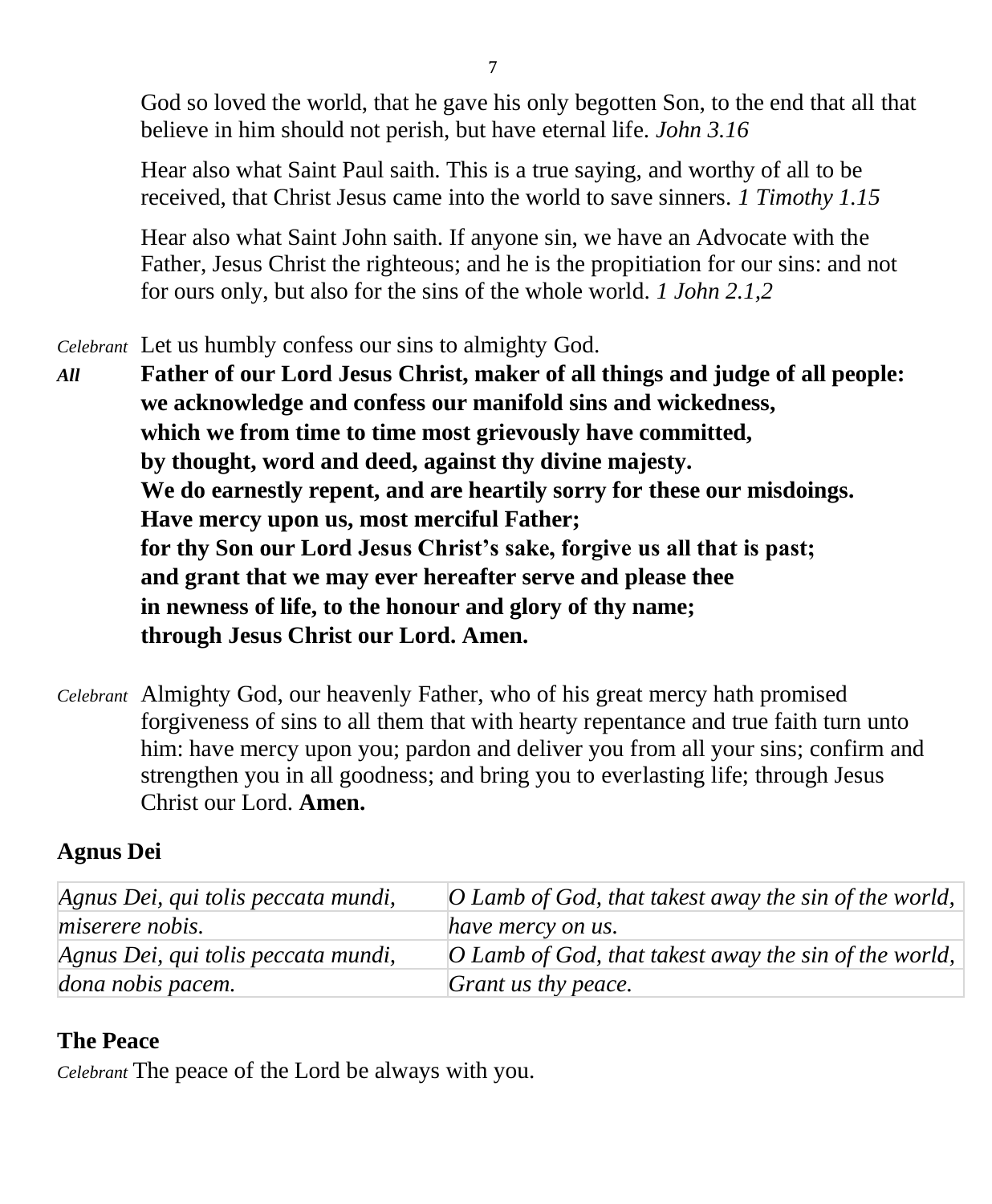God so loved the world, that he gave his only begotten Son, to the end that all that believe in him should not perish, but have eternal life. *John 3.16*

Hear also what Saint Paul saith. This is a true saying, and worthy of all to be received, that Christ Jesus came into the world to save sinners. *1 Timothy 1.15*

Hear also what Saint John saith. If anyone sin, we have an Advocate with the Father, Jesus Christ the righteous; and he is the propitiation for our sins: and not for ours only, but also for the sins of the whole world. *1 John 2.1,2*

*Celebrant* Let us humbly confess our sins to almighty God.

- *All* **Father of our Lord Jesus Christ, maker of all things and judge of all people: we acknowledge and confess our manifold sins and wickedness, which we from time to time most grievously have committed, by thought, word and deed, against thy divine majesty. We do earnestly repent, and are heartily sorry for these our misdoings. Have mercy upon us, most merciful Father; for thy Son our Lord Jesus Christ's sake, forgive us all that is past; and grant that we may ever hereafter serve and please thee in newness of life, to the honour and glory of thy name; through Jesus Christ our Lord. Amen.**
- *Celebrant* Almighty God, our heavenly Father, who of his great mercy hath promised forgiveness of sins to all them that with hearty repentance and true faith turn unto him: have mercy upon you; pardon and deliver you from all your sins; confirm and strengthen you in all goodness; and bring you to everlasting life; through Jesus Christ our Lord. **Amen.**

# **Agnus Dei**

| Agnus Dei, qui tolis peccata mundi, | $\vert$ O Lamb of God, that takest away the sin of the world, $\vert$ |
|-------------------------------------|-----------------------------------------------------------------------|
| <i>miserere nobis.</i>              | have mercy on us.                                                     |
| Agnus Dei, qui tolis peccata mundi, | O Lamb of God, that takest away the sin of the world,                 |
| dona nobis pacem.                   | Grant us thy peace.                                                   |

# **The Peace**

*Celebrant* The peace of the Lord be always with you.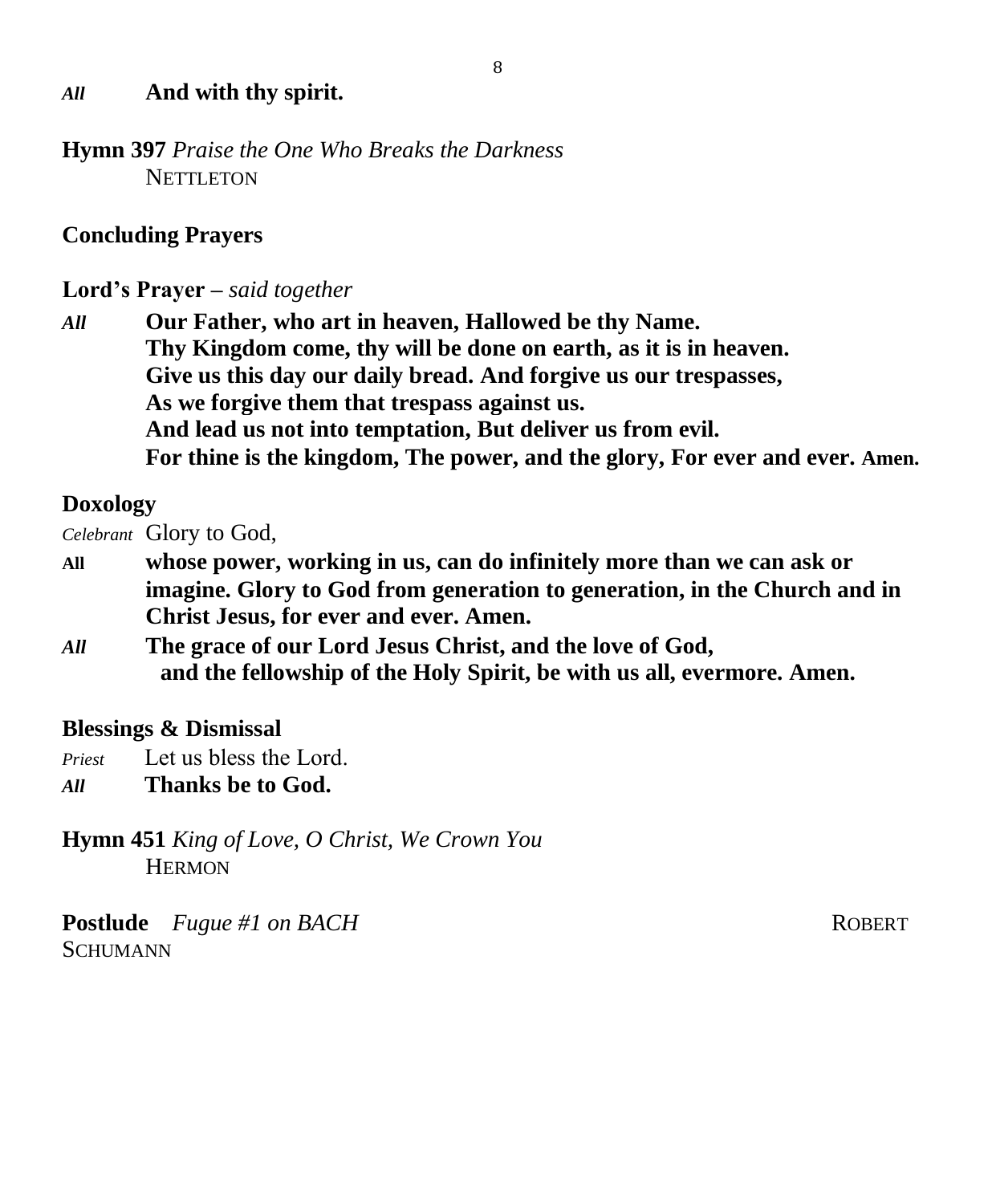### *All* **And with thy spirit.**

**Hymn 397** *Praise the One Who Breaks the Darkness* NETTLETON

### **Concluding Prayers**

**Lord's Prayer –** *said together* 

*All* **Our Father, who art in heaven, Hallowed be thy Name. Thy Kingdom come, thy will be done on earth, as it is in heaven. Give us this day our daily bread. And forgive us our trespasses, As we forgive them that trespass against us. And lead us not into temptation, But deliver us from evil. For thine is the kingdom, The power, and the glory, For ever and ever. Amen.**

### **Doxology**

*Celebrant* Glory to God,

- **All whose power, working in us, can do infinitely more than we can ask or imagine. Glory to God from generation to generation, in the Church and in Christ Jesus, for ever and ever. Amen.**
- *All* **The grace of our Lord Jesus Christ, and the love of God,**  **and the fellowship of the Holy Spirit, be with us all, evermore. Amen.**

### **Blessings & Dismissal**

- *Priest* Let us bless the Lord.
- *All* **Thanks be to God.**

**Hymn 451** *King of Love, O Christ, We Crown You*  **HERMON** 

**Postlude** *Fugue #1 on BACH* **ROBERT ROBERT SCHUMANN**